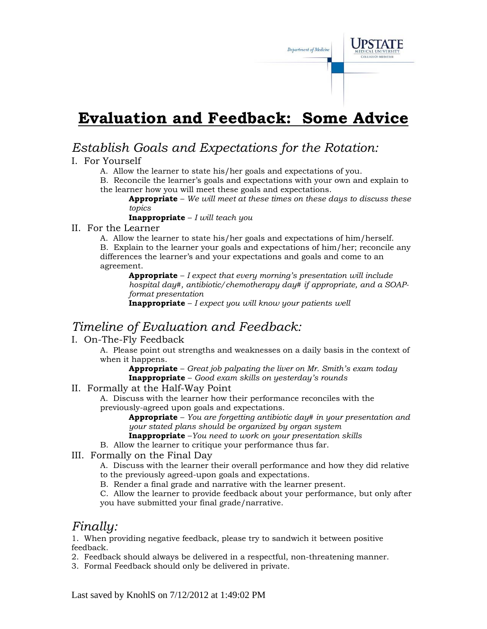# **Evaluation and Feedback: Some Advice**

### *Establish Goals and Expectations for the Rotation:*

#### I. For Yourself

A. Allow the learner to state his/her goals and expectations of you.

B. Reconcile the learner's goals and expectations with your own and explain to the learner how you will meet these goals and expectations.

**Appropriate** – *We will meet at these times on these days to discuss these topics*

Department of Medicine

**Inappropriate** – *I will teach you*

#### II. For the Learner

 A. Allow the learner to state his/her goals and expectations of him/herself. B. Explain to the learner your goals and expectations of him/her; reconcile any differences the learner's and your expectations and goals and come to an agreement.

**Appropriate** – *I expect that every morning's presentation will include hospital day#, antibiotic/chemotherapy day# if appropriate, and a SOAPformat presentation*

**Inappropriate** – *I expect you will know your patients well*

### *Timeline of Evaluation and Feedback:*

### I. On-The-Fly Feedback

A. Please point out strengths and weaknesses on a daily basis in the context of when it happens.

**Appropriate** – *Great job palpating the liver on Mr. Smith's exam today*  **Inappropriate** – *Good exam skills on yesterday's rounds*

#### II. Formally at the Half-Way Point

A. Discuss with the learner how their performance reconciles with the previously-agreed upon goals and expectations.

**Appropriate** – *You are forgetting antibiotic day# in your presentation and your stated plans should be organized by organ system*

**Inappropriate** –*You need to work on your presentation skills*

B. Allow the learner to critique your performance thus far.

III. Formally on the Final Day

A. Discuss with the learner their overall performance and how they did relative to the previously agreed-upon goals and expectations.

B. Render a final grade and narrative with the learner present.

C. Allow the learner to provide feedback about your performance, but only after you have submitted your final grade/narrative.

### *Finally:*

1. When providing negative feedback, please try to sandwich it between positive feedback.

2. Feedback should always be delivered in a respectful, non-threatening manner.

3. Formal Feedback should only be delivered in private.